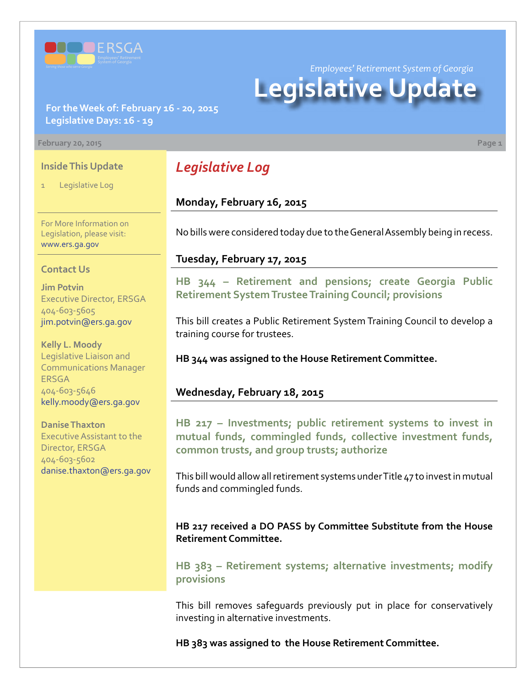

**For the Week of: February 16 - 20, 2015 Legislative Days: 16 - 19**

#### **February 20, 2015 Page 1**

### **Inside This Update**

Legislative Log

For More Information on Legislation, please visit: [www.ers.ga.gov](http://www.ers.ga.gov/default.aspx)

#### **Contact Us**

**Jim Potvin** Executive Director, ERSGA 404-603-5605 jim.potvin@ers.ga.gov

**Kelly L. Moody** Legislative Liaison and Communications Manager ERSGA 404-603-5646 kelly.moody@ers.ga.gov

**Danise Thaxton** Executive Assistant to the Director, ERSGA 404-603-5602 danise.thaxton@ers.ga.gov

## *Legislative Log*

**Monday, February 16, 2015**

No bills were considered today due to the General Assembly being in recess.

*Employees' Retirement System of Georgia*

**Legislative Update**

#### **Tuesday, February 17, 2015**

**HB 344 [– R](http://www.legis.ga.gov/legislation/en-US/Display/20152016/HB/344)etirement and pensions; create Georgia Public Retirement System Trustee Training Council; provisions**

This bill creates a Public Retirement System Training Council to develop a training course for trustees.

**HB 344 was assigned to the House Retirement Committee.**

#### **Wednesday, February 18, 2015**

**HB [217 – I](http://www.legis.ga.gov/legislation/en-US/Display/20152016/HB/217)nvestments; public retirement systems to invest in mutual funds, commingled funds, collective investment funds, common trusts, and group trusts; authorize**

This bill would allow all retirement systems under Title 47 to invest in mutual funds and commingled funds.

**HB 217 received a DO PASS by Committee Substitute from the House Retirement Committee.**

**HB [383 – R](http://www.legis.ga.gov/legislation/en-US/Display/20152016/HB/383)etirement systems; alternative investments; modify provisions**

This bill removes safeguards previously put in place for conservatively investing in alternative investments.

**HB 383 was assigned to the House Retirement Committee.**